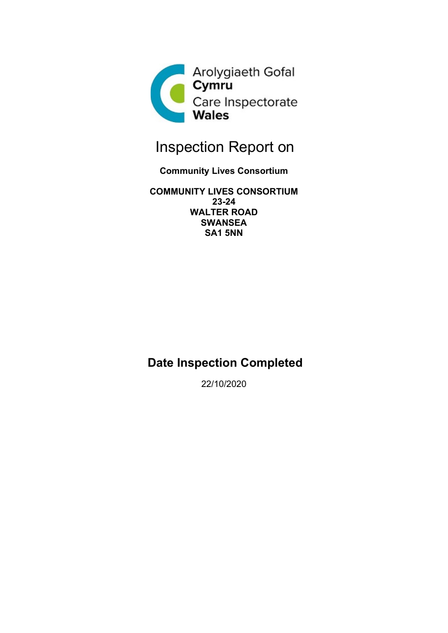

# Inspection Report on

### **Community Lives Consortium**

**COMMUNITY LIVES CONSORTIUM 23-24 WALTER ROAD SWANSEA SA1 5NN**

## **Date Inspection Completed**

22/10/2020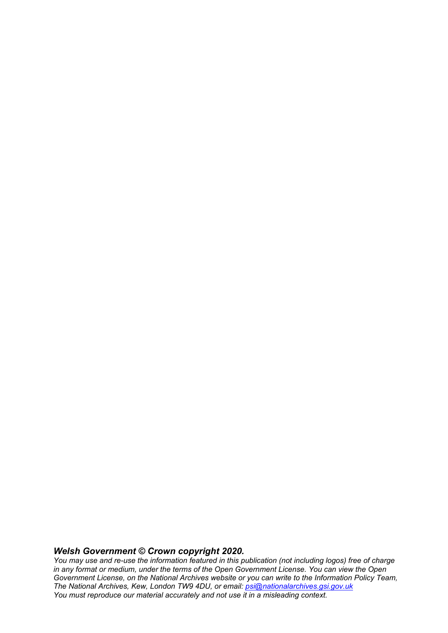#### *Welsh Government © Crown copyright 2020.*

*You may use and re-use the information featured in this publication (not including logos) free of charge in any format or medium, under the terms of the Open Government License. You can view the Open Government License, on the National Archives website or you can write to the Information Policy Team, The National Archives, Kew, London TW9 4DU, or email: [psi@nationalarchives.gsi.gov.uk](mailto:psi@nationalarchives.gsi.gov.uk) You must reproduce our material accurately and not use it in a misleading context.*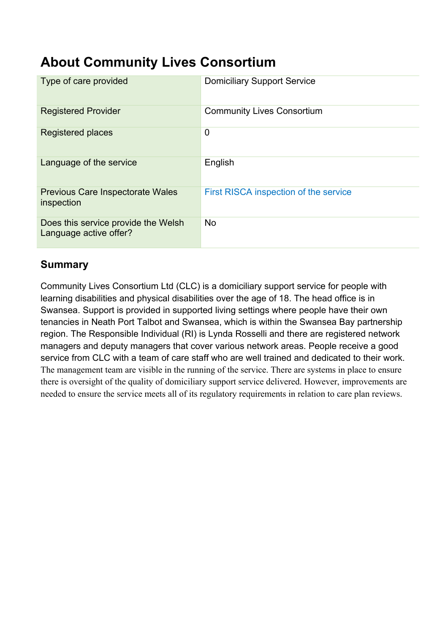## **About Community Lives Consortium**

| Type of care provided                                         | <b>Domiciliary Support Service</b>    |
|---------------------------------------------------------------|---------------------------------------|
| <b>Registered Provider</b>                                    | <b>Community Lives Consortium</b>     |
| Registered places                                             | 0                                     |
| Language of the service                                       | English                               |
| <b>Previous Care Inspectorate Wales</b><br>inspection         | First RISCA inspection of the service |
| Does this service provide the Welsh<br>Language active offer? | <b>No</b>                             |

## **Summary**

Community Lives Consortium Ltd (CLC) is a domiciliary support service for people with learning disabilities and physical disabilities over the age of 18. The head office is in Swansea. Support is provided in supported living settings where people have their own tenancies in Neath Port Talbot and Swansea, which is within the Swansea Bay partnership region. The Responsible Individual (RI) is Lynda Rosselli and there are registered network managers and deputy managers that cover various network areas. People receive a good service from CLC with a team of care staff who are well trained and dedicated to their work. The management team are visible in the running of the service. There are systems in place to ensure there is oversight of the quality of domiciliary support service delivered. However, improvements are needed to ensure the service meets all of its regulatory requirements in relation to care plan reviews.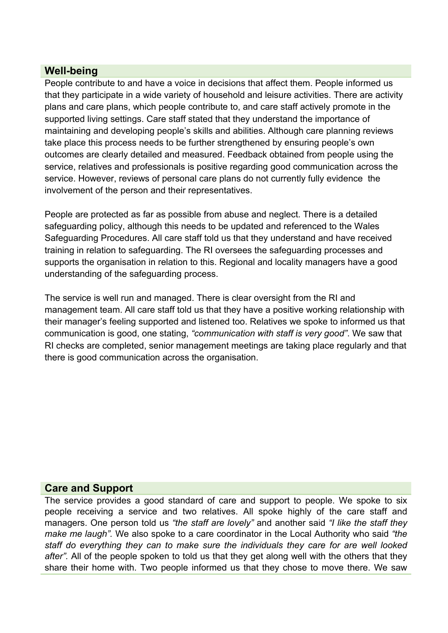### **Well-being**

People contribute to and have a voice in decisions that affect them. People informed us that they participate in a wide variety of household and leisure activities. There are activity plans and care plans, which people contribute to, and care staff actively promote in the supported living settings. Care staff stated that they understand the importance of maintaining and developing people's skills and abilities. Although care planning reviews take place this process needs to be further strengthened by ensuring people's own outcomes are clearly detailed and measured. Feedback obtained from people using the service, relatives and professionals is positive regarding good communication across the service. However, reviews of personal care plans do not currently fully evidence the involvement of the person and their representatives.

People are protected as far as possible from abuse and neglect. There is a detailed safeguarding policy, although this needs to be updated and referenced to the Wales Safeguarding Procedures. All care staff told us that they understand and have received training in relation to safeguarding. The RI oversees the safeguarding processes and supports the organisation in relation to this. Regional and locality managers have a good understanding of the safeguarding process.

The service is well run and managed. There is clear oversight from the RI and management team. All care staff told us that they have a positive working relationship with their manager's feeling supported and listened too. Relatives we spoke to informed us that communication is good, one stating, *"communication with staff is very good"*. We saw that RI checks are completed, senior management meetings are taking place regularly and that there is good communication across the organisation.

#### **Care and Support**

The service provides a good standard of care and support to people. We spoke to six people receiving a service and two relatives. All spoke highly of the care staff and managers. One person told us *"the staff are lovely"* and another said *"I like the staff they make me laugh".* We also spoke to a care coordinator in the Local Authority who said *"the staff do everything they can to make sure the individuals they care for are well looked after".* All of the people spoken to told us that they get along well with the others that they share their home with. Two people informed us that they chose to move there. We saw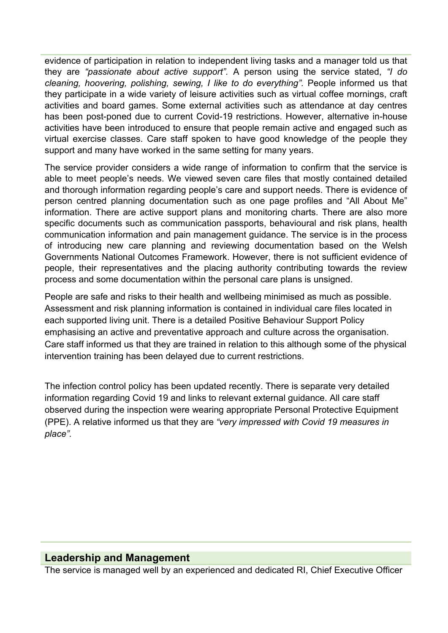evidence of participation in relation to independent living tasks and a manager told us that they are *"passionate about active support".* A person using the service stated, *"I do cleaning, hoovering, polishing, sewing, I like to do everything".* People informed us that they participate in a wide variety of leisure activities such as virtual coffee mornings, craft activities and board games. Some external activities such as attendance at day centres has been post-poned due to current Covid-19 restrictions. However, alternative in-house activities have been introduced to ensure that people remain active and engaged such as virtual exercise classes. Care staff spoken to have good knowledge of the people they support and many have worked in the same setting for many years.

The service provider considers a wide range of information to confirm that the service is able to meet people's needs. We viewed seven care files that mostly contained detailed and thorough information regarding people's care and support needs. There is evidence of person centred planning documentation such as one page profiles and "All About Me" information. There are active support plans and monitoring charts. There are also more specific documents such as communication passports, behavioural and risk plans, health communication information and pain management guidance. The service is in the process of introducing new care planning and reviewing documentation based on the Welsh Governments National Outcomes Framework. However, there is not sufficient evidence of people, their representatives and the placing authority contributing towards the review process and some documentation within the personal care plans is unsigned.

People are safe and risks to their health and wellbeing minimised as much as possible. Assessment and risk planning information is contained in individual care files located in each supported living unit. There is a detailed Positive Behaviour Support Policy emphasising an active and preventative approach and culture across the organisation. Care staff informed us that they are trained in relation to this although some of the physical intervention training has been delayed due to current restrictions.

The infection control policy has been updated recently. There is separate very detailed information regarding Covid 19 and links to relevant external guidance. All care staff observed during the inspection were wearing appropriate Personal Protective Equipment (PPE). A relative informed us that they are *"very impressed with Covid 19 measures in place".*

#### **Leadership and Management**

The service is managed well by an experienced and dedicated RI, Chief Executive Officer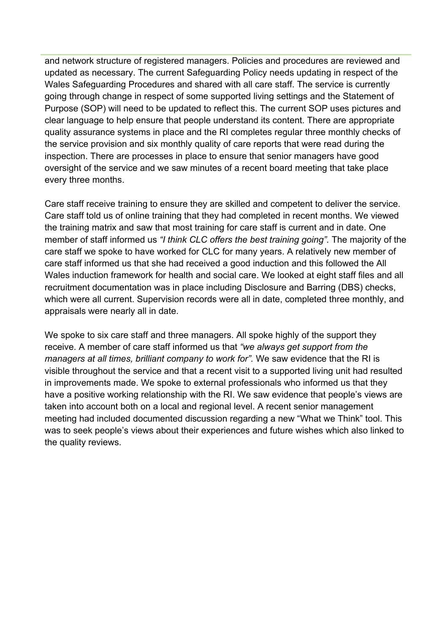and network structure of registered managers. Policies and procedures are reviewed and updated as necessary. The current Safeguarding Policy needs updating in respect of the Wales Safeguarding Procedures and shared with all care staff. The service is currently going through change in respect of some supported living settings and the Statement of Purpose (SOP) will need to be updated to reflect this. The current SOP uses pictures and clear language to help ensure that people understand its content. There are appropriate quality assurance systems in place and the RI completes regular three monthly checks of the service provision and six monthly quality of care reports that were read during the inspection. There are processes in place to ensure that senior managers have good oversight of the service and we saw minutes of a recent board meeting that take place every three months.

Care staff receive training to ensure they are skilled and competent to deliver the service. Care staff told us of online training that they had completed in recent months. We viewed the training matrix and saw that most training for care staff is current and in date. One member of staff informed us *"I think CLC offers the best training going".* The majority of the care staff we spoke to have worked for CLC for many years. A relatively new member of care staff informed us that she had received a good induction and this followed the All Wales induction framework for health and social care. We looked at eight staff files and all recruitment documentation was in place including Disclosure and Barring (DBS) checks, which were all current. Supervision records were all in date, completed three monthly, and appraisals were nearly all in date.

We spoke to six care staff and three managers. All spoke highly of the support they receive. A member of care staff informed us that *"we always get support from the managers at all times, brilliant company to work for".* We saw evidence that the RI is visible throughout the service and that a recent visit to a supported living unit had resulted in improvements made. We spoke to external professionals who informed us that they have a positive working relationship with the RI. We saw evidence that people's views are taken into account both on a local and regional level. A recent senior management meeting had included documented discussion regarding a new "What we Think" tool. This was to seek people's views about their experiences and future wishes which also linked to the quality reviews.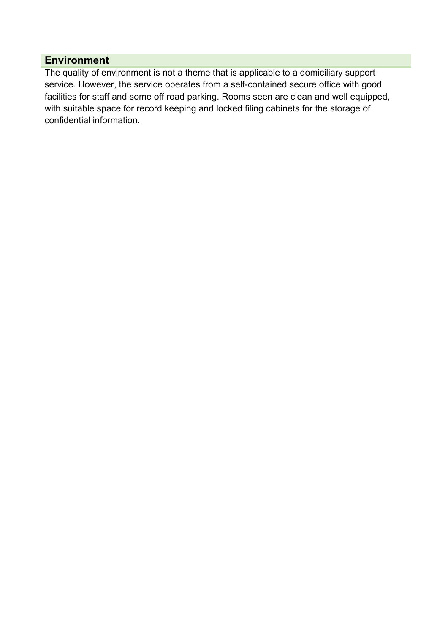## **Environment**

The quality of environment is not a theme that is applicable to a domiciliary support service. However, the service operates from a self-contained secure office with good facilities for staff and some off road parking. Rooms seen are clean and well equipped, with suitable space for record keeping and locked filing cabinets for the storage of confidential information.